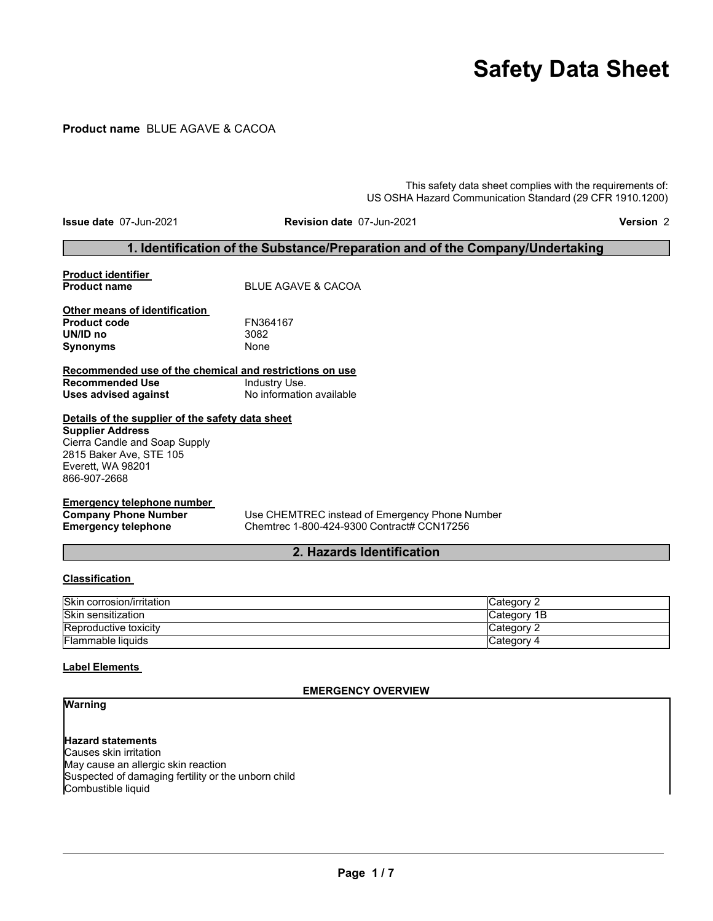# **Safety Data Sheet**

# **Product name** BLUE AGAVE & CACOA

This safety data sheet complies with the requirements of: US OSHA Hazard Communication Standard (29 CFR 1910.1200)

**Issue date** 07-Jun-2021 **Revision date** 07-Jun-2021 **Version** 2

# **1. Identification of the Substance/Preparation and of the Company/Undertaking**

# **Product identifier BLUE AGAVE & CACOA Other means of identification Product code** FN364167 **UN/ID no** 3082

**Recommended use of the chemical and restrictions on use Recommended Use** Industry Use.<br> **Uses advised against** No information available

**Uses advised against** 

**Synonyms** 

# **Details of the supplier of the safety data sheet**

**Supplier Address** Cierra Candle and Soap Supply 2815 Baker Ave, STE 105 Everett, WA 98201 866-907-2668

# **Emergency telephone number**

**Company Phone Number** Use CHEMTREC instead of Emergency Phone Number<br> **Emergency telephone** Chemtrec 1-800-424-9300 Contract# CCN17256 **Emergency telephone** Chemtrec 1-800-424-9300 Contract# CCN17256

# **2. Hazards Identification**

#### **Classification**

| Skin corrosion/irritation    | <b>Category 2</b> |
|------------------------------|-------------------|
| Skin sensitization           | Category 1B       |
| <b>Reproductive toxicity</b> | Category 2        |
| <b>Flammable liquids</b>     | Category 4        |

#### **Label Elements**

#### **EMERGENCY OVERVIEW**

# **Warning**

**Hazard statements** Causes skin irritation May cause an allergic skin reaction Suspected of damaging fertility or the unborn child Combustible liquid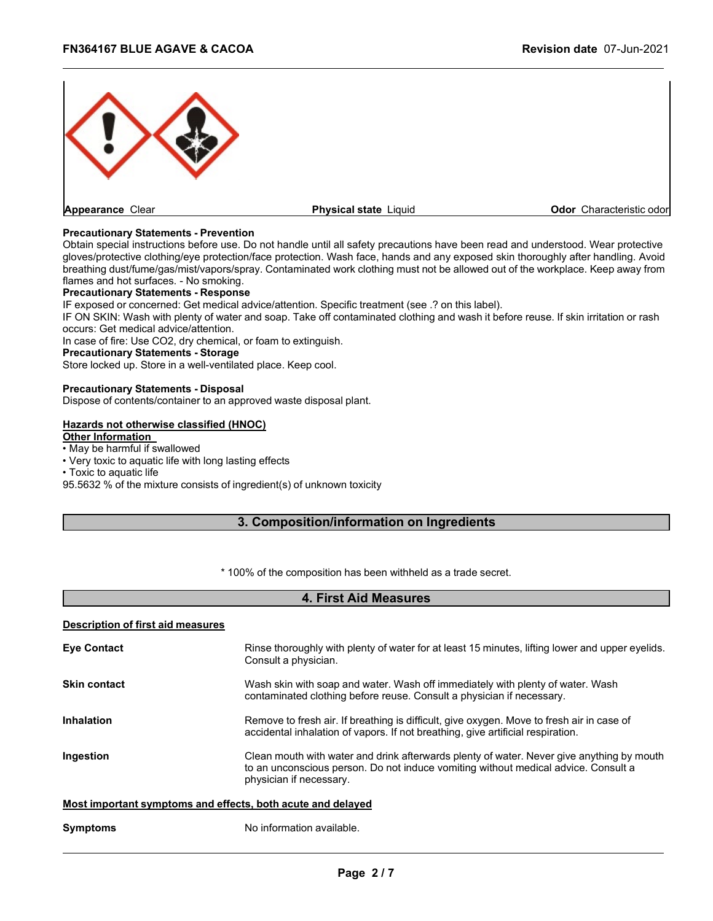

#### **Precautionary Statements - Prevention**

Obtain special instructions before use. Do not handle until all safety precautions have been read and understood. Wear protective gloves/protective clothing/eye protection/face protection. Wash face, hands and any exposed skin thoroughly after handling. Avoid breathing dust/fume/gas/mist/vapors/spray. Contaminated work clothing must not be allowed out of the workplace. Keep away from flames and hot surfaces. - No smoking.

#### **Precautionary Statements - Response**

IF exposed or concerned: Get medical advice/attention. Specific treatment (see .? on this label).

IF ON SKIN: Wash with plenty of water and soap. Take off contaminated clothing and wash it before reuse. If skin irritation or rash occurs: Get medical advice/attention.

In case of fire: Use CO2, dry chemical, or foam to extinguish.

#### **Precautionary Statements - Storage**

Store locked up. Store in a well-ventilated place. Keep cool.

#### **Precautionary Statements - Disposal**

Dispose of contents/container to an approved waste disposal plant.

#### **Hazards not otherwise classified (HNOC)**

#### **Other Information**

• May be harmful if swallowed

• Very toxic to aquatic life with long lasting effects

• Toxic to aquatic life

95.5632 % of the mixture consists of ingredient(s) of unknown toxicity

# **3. Composition/information on Ingredients**

\* 100% of the composition has been withheld as a trade secret.

# **4. First Aid Measures**

#### **Description of first aid measures**

| <b>Eye Contact</b>                                          | Rinse thoroughly with plenty of water for at least 15 minutes, lifting lower and upper eyelids.<br>Consult a physician.                                                                                    |
|-------------------------------------------------------------|------------------------------------------------------------------------------------------------------------------------------------------------------------------------------------------------------------|
| <b>Skin contact</b>                                         | Wash skin with soap and water. Wash off immediately with plenty of water. Wash<br>contaminated clothing before reuse. Consult a physician if necessary.                                                    |
| <b>Inhalation</b>                                           | Remove to fresh air. If breathing is difficult, give oxygen. Move to fresh air in case of<br>accidental inhalation of vapors. If not breathing, give artificial respiration.                               |
| Ingestion                                                   | Clean mouth with water and drink afterwards plenty of water. Never give anything by mouth<br>to an unconscious person. Do not induce vomiting without medical advice. Consult a<br>physician if necessary. |
| Most important symptoms and effects, both acute and delayed |                                                                                                                                                                                                            |
| <b>Symptoms</b>                                             | No information available.                                                                                                                                                                                  |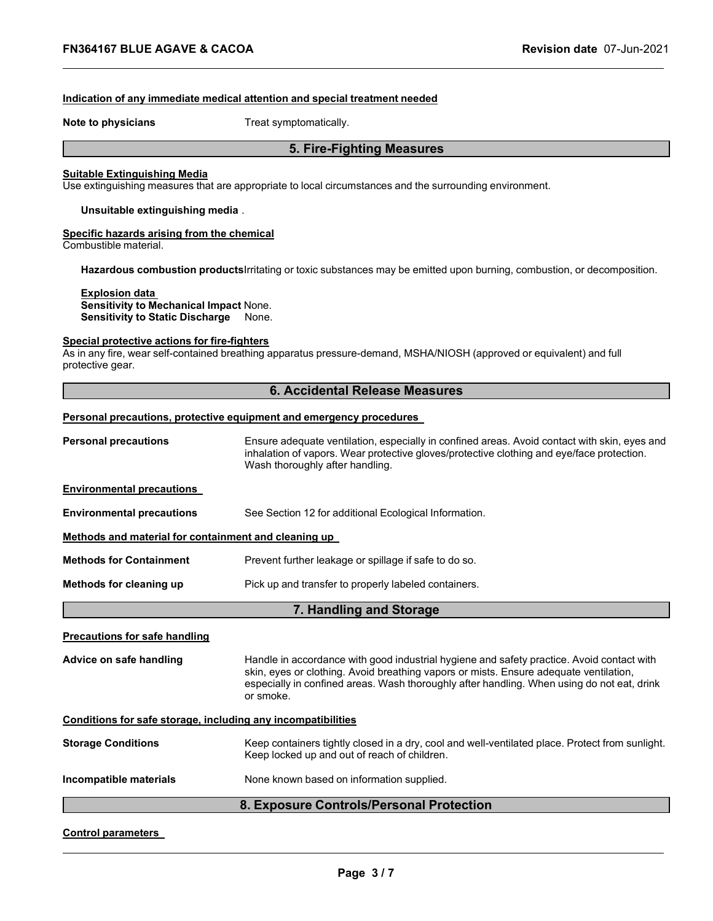#### **Indication of any immediate medical attention and special treatment needed**

**Note to physicians** Treat symptomatically.

# **5. Fire-Fighting Measures**

#### **Suitable Extinguishing Media**

Use extinguishing measures that are appropriate to local circumstances and the surrounding environment.

**Unsuitable extinguishing media** .

# **Specific hazards arising from the chemical**

Combustible material.

**Hazardous combustion products**Irritating or toxic substances may be emitted upon burning, combustion, or decomposition.

#### **Explosion data**

**Sensitivity to Mechanical Impact** None. **Sensitivity to Static Discharge** None.

# **Special protective actions for fire-fighters**

As in any fire, wear self-contained breathing apparatus pressure-demand, MSHA/NIOSH (approved or equivalent) and full protective gear.

### **6. Accidental Release Measures**

#### **Personal precautions, protective equipment and emergency procedures**

| <b>Personal precautions</b>                                  | Ensure adequate ventilation, especially in confined areas. Avoid contact with skin, eyes and<br>inhalation of vapors. Wear protective gloves/protective clothing and eye/face protection.<br>Wash thoroughly after handling.                                                                  |  |  |
|--------------------------------------------------------------|-----------------------------------------------------------------------------------------------------------------------------------------------------------------------------------------------------------------------------------------------------------------------------------------------|--|--|
| <b>Environmental precautions</b>                             |                                                                                                                                                                                                                                                                                               |  |  |
| <b>Environmental precautions</b>                             | See Section 12 for additional Ecological Information.                                                                                                                                                                                                                                         |  |  |
| Methods and material for containment and cleaning up         |                                                                                                                                                                                                                                                                                               |  |  |
| <b>Methods for Containment</b>                               | Prevent further leakage or spillage if safe to do so.                                                                                                                                                                                                                                         |  |  |
| Methods for cleaning up                                      | Pick up and transfer to properly labeled containers.                                                                                                                                                                                                                                          |  |  |
|                                                              | 7. Handling and Storage                                                                                                                                                                                                                                                                       |  |  |
| <b>Precautions for safe handling</b>                         |                                                                                                                                                                                                                                                                                               |  |  |
| Advice on safe handling                                      | Handle in accordance with good industrial hygiene and safety practice. Avoid contact with<br>skin, eyes or clothing. Avoid breathing vapors or mists. Ensure adequate ventilation,<br>especially in confined areas. Wash thoroughly after handling. When using do not eat, drink<br>or smoke. |  |  |
| Conditions for safe storage, including any incompatibilities |                                                                                                                                                                                                                                                                                               |  |  |
| <b>Storage Conditions</b>                                    | Keep containers tightly closed in a dry, cool and well-ventilated place. Protect from sunlight.<br>Keep locked up and out of reach of children.                                                                                                                                               |  |  |
| Incompatible materials                                       | None known based on information supplied.                                                                                                                                                                                                                                                     |  |  |

### **8. Exposure Controls/Personal Protection**

#### **Control parameters**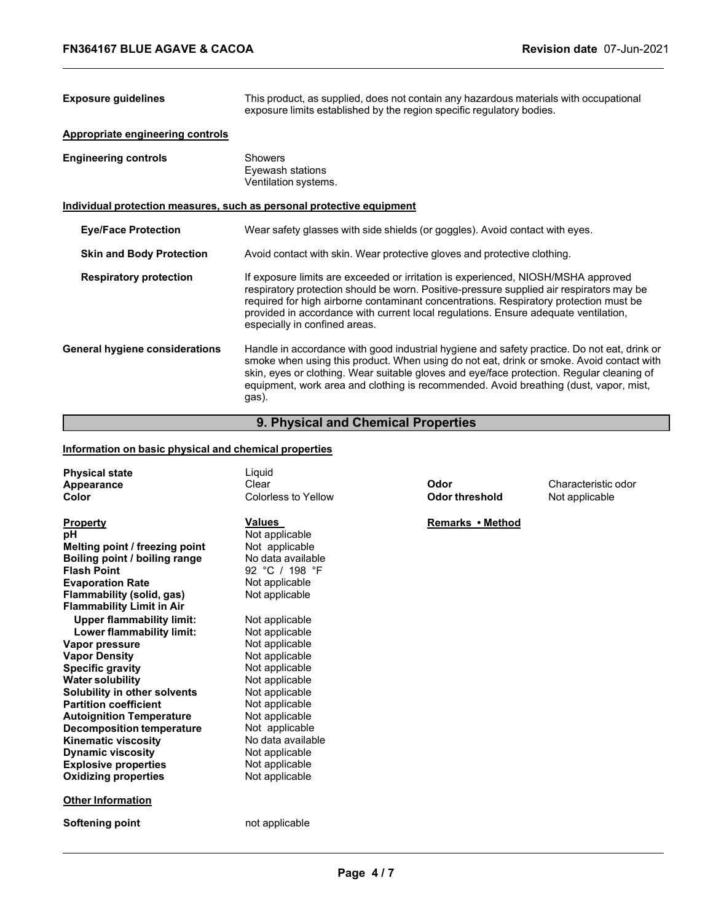| <b>Exposure guidelines</b>              | This product, as supplied, does not contain any hazardous materials with occupational<br>exposure limits established by the region specific regulatory bodies.                                                                                                                                                                                                                                 |  |
|-----------------------------------------|------------------------------------------------------------------------------------------------------------------------------------------------------------------------------------------------------------------------------------------------------------------------------------------------------------------------------------------------------------------------------------------------|--|
| <b>Appropriate engineering controls</b> |                                                                                                                                                                                                                                                                                                                                                                                                |  |
| <b>Engineering controls</b>             | Showers<br>Eyewash stations<br>Ventilation systems.                                                                                                                                                                                                                                                                                                                                            |  |
|                                         | <u>Individual protection measures, such as personal protective equipment</u>                                                                                                                                                                                                                                                                                                                   |  |
| <b>Eye/Face Protection</b>              | Wear safety glasses with side shields (or goggles). Avoid contact with eyes.                                                                                                                                                                                                                                                                                                                   |  |
| <b>Skin and Body Protection</b>         | Avoid contact with skin. Wear protective gloves and protective clothing.                                                                                                                                                                                                                                                                                                                       |  |
| <b>Respiratory protection</b>           | If exposure limits are exceeded or irritation is experienced, NIOSH/MSHA approved<br>respiratory protection should be worn. Positive-pressure supplied air respirators may be<br>required for high airborne contaminant concentrations. Respiratory protection must be<br>provided in accordance with current local regulations. Ensure adequate ventilation,<br>especially in confined areas. |  |
| <b>General hygiene considerations</b>   | Handle in accordance with good industrial hygiene and safety practice. Do not eat, drink or<br>smoke when using this product. When using do not eat, drink or smoke. Avoid contact with<br>skin, eyes or clothing. Wear suitable gloves and eye/face protection. Regular cleaning of<br>equipment, work area and clothing is recommended. Avoid breathing (dust, vapor, mist,<br>gas).         |  |

# **9. Physical and Chemical Properties**

# **Information on basic physical and chemical properties**

| <b>Physical state</b><br>Appearance<br>Color                                                                                                                                                                                                                                                                                                                                                                                                                                                                                                                                                                                               | Liquid<br>Clear<br>Colorless to Yellow                                                                                                                                                                                                                                                                                                                                                      | Odor<br><b>Odor threshold</b> | Characteristic odor<br>Not applicable |
|--------------------------------------------------------------------------------------------------------------------------------------------------------------------------------------------------------------------------------------------------------------------------------------------------------------------------------------------------------------------------------------------------------------------------------------------------------------------------------------------------------------------------------------------------------------------------------------------------------------------------------------------|---------------------------------------------------------------------------------------------------------------------------------------------------------------------------------------------------------------------------------------------------------------------------------------------------------------------------------------------------------------------------------------------|-------------------------------|---------------------------------------|
| <b>Property</b><br>рH<br>Melting point / freezing point<br>Boiling point / boiling range<br><b>Flash Point</b><br><b>Evaporation Rate</b><br>Flammability (solid, gas)<br><b>Flammability Limit in Air</b><br><b>Upper flammability limit:</b><br>Lower flammability limit:<br>Vapor pressure<br><b>Vapor Density</b><br><b>Specific gravity</b><br><b>Water solubility</b><br>Solubility in other solvents<br><b>Partition coefficient</b><br><b>Autoignition Temperature</b><br><b>Decomposition temperature</b><br><b>Kinematic viscosity</b><br><b>Dynamic viscosity</b><br><b>Explosive properties</b><br><b>Oxidizing properties</b> | <b>Values</b><br>Not applicable<br>Not applicable<br>No data available<br>92 °C / 198 °F<br>Not applicable<br>Not applicable<br>Not applicable<br>Not applicable<br>Not applicable<br>Not applicable<br>Not applicable<br>Not applicable<br>Not applicable<br>Not applicable<br>Not applicable<br>Not applicable<br>No data available<br>Not applicable<br>Not applicable<br>Not applicable | Remarks • Method              |                                       |
| <b>Other Information</b>                                                                                                                                                                                                                                                                                                                                                                                                                                                                                                                                                                                                                   |                                                                                                                                                                                                                                                                                                                                                                                             |                               |                                       |
| Softening point                                                                                                                                                                                                                                                                                                                                                                                                                                                                                                                                                                                                                            | not applicable                                                                                                                                                                                                                                                                                                                                                                              |                               |                                       |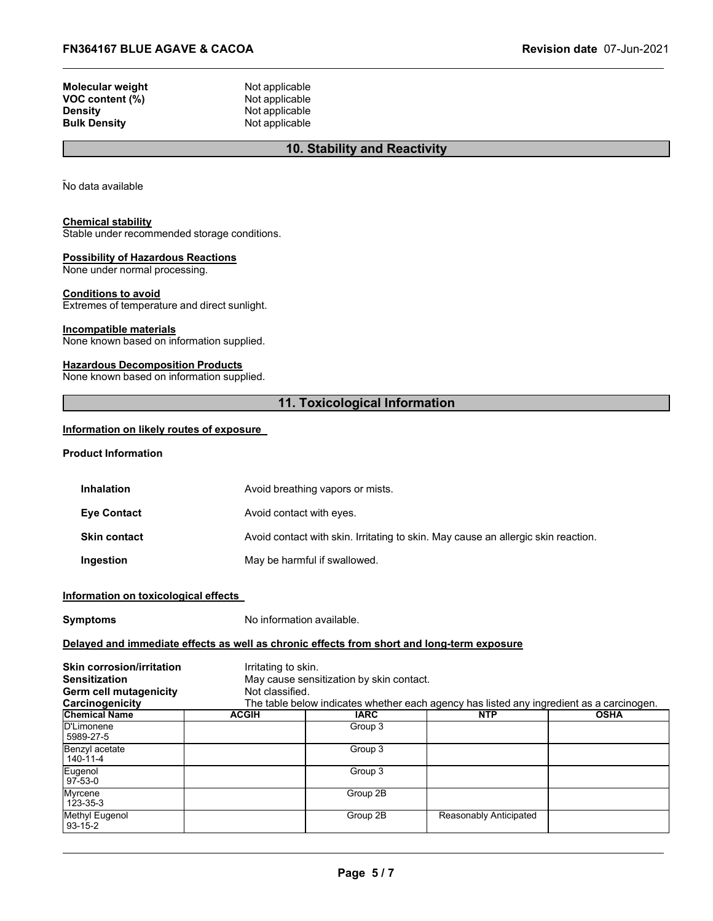| Molecular weight | Not applicable |
|------------------|----------------|
| VOC content (%)  | Not applicable |
| Densitv          | Not applicable |
| Bulk Densitv     | Not applicable |
|                  |                |

# **10. Stability and Reactivity**

No data available

#### **Chemical stability**

Stable under recommended storage conditions.

#### **Possibility of Hazardous Reactions**

None under normal processing.

#### **Conditions to avoid**

Extremes of temperature and direct sunlight.

#### **Incompatible materials**

None known based on information supplied.

#### **Hazardous Decomposition Products**

None known based on information supplied.

# **11. Toxicological Information**

#### **Information on likely routes of exposure**

#### **Product Information**

| <b>Inhalation</b>   | Avoid breathing vapors or mists.                                                  |
|---------------------|-----------------------------------------------------------------------------------|
| Eye Contact         | Avoid contact with eyes.                                                          |
| <b>Skin contact</b> | Avoid contact with skin. Irritating to skin. May cause an allergic skin reaction. |
| <b>Ingestion</b>    | May be harmful if swallowed.                                                      |

#### **Information on toxicological effects**

**Symptoms** No information available.

#### **Delayed and immediate effects as well as chronic effects from short and long-term exposure**

| <b>Skin corrosion/irritation</b> | Irritating to skin. |                                          |                                                                                          |             |
|----------------------------------|---------------------|------------------------------------------|------------------------------------------------------------------------------------------|-------------|
| <b>Sensitization</b>             |                     | May cause sensitization by skin contact. |                                                                                          |             |
| Germ cell mutagenicity           | Not classified.     |                                          |                                                                                          |             |
| Carcinogenicity                  |                     |                                          | The table below indicates whether each agency has listed any ingredient as a carcinogen. |             |
| <b>Chemical Name</b>             | <b>ACGIH</b>        | <b>IARC</b>                              | <b>NTP</b>                                                                               | <b>OSHA</b> |
| D'Limonene<br>5989-27-5          |                     | Group 3                                  |                                                                                          |             |
| Benzyl acetate<br>140-11-4       |                     | Group 3                                  |                                                                                          |             |
| Eugenol<br>$97-53-0$             |                     | Group 3                                  |                                                                                          |             |
| Myrcene<br>123-35-3              |                     | Group 2B                                 |                                                                                          |             |
| Methyl Eugenol<br>$93-15-2$      |                     | Group 2B                                 | Reasonably Anticipated                                                                   |             |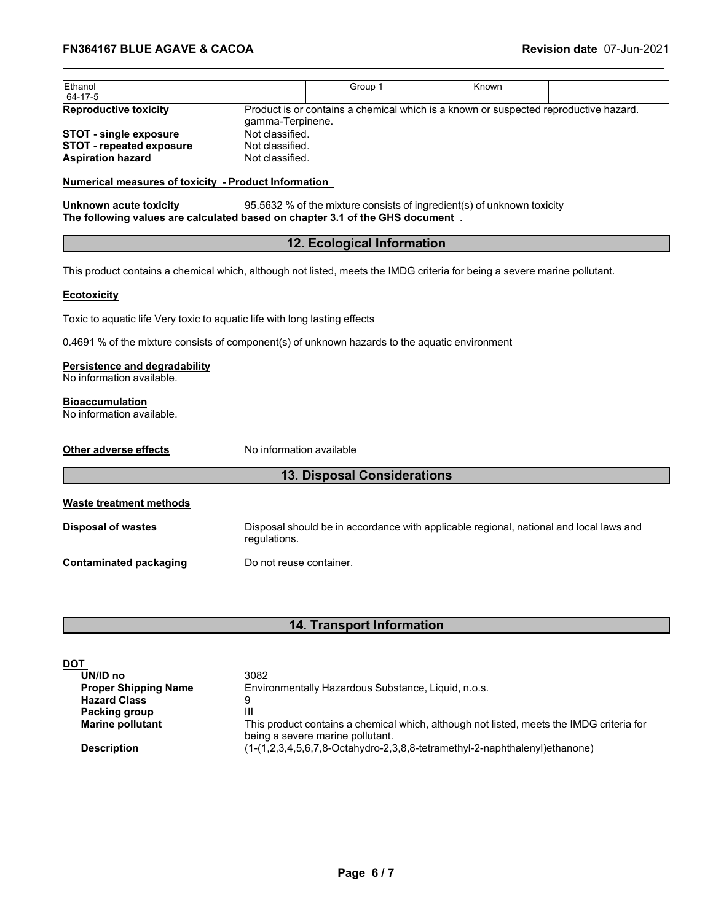| Ethanol<br>64-17-5              |                  | Group 1                                                                              | Known |  |
|---------------------------------|------------------|--------------------------------------------------------------------------------------|-------|--|
| <b>Reproductive toxicity</b>    | gamma-Terpinene. | Product is or contains a chemical which is a known or suspected reproductive hazard. |       |  |
| <b>STOT - single exposure</b>   | Not classified.  |                                                                                      |       |  |
| <b>STOT - repeated exposure</b> | Not classified.  |                                                                                      |       |  |
| <b>Aspiration hazard</b>        | Not classified.  |                                                                                      |       |  |

#### **Numerical measures of toxicity - Product Information**

**Unknown acute toxicity** 95.5632 % of the mixture consists of ingredient(s) of unknown toxicity **The following values are calculated based on chapter 3.1 of the GHS document** .

# **12. Ecological Information**

This product contains a chemical which, although not listed, meets the IMDG criteria for being a severe marine pollutant.

#### **Ecotoxicity**

Toxic to aquatic life Very toxic to aquatic life with long lasting effects

0.4691 % of the mixture consists of component(s) of unknown hazards to the aquatic environment

#### **Persistence and degradability**

No information available.

# **Bioaccumulation**

No information available.

| Other adverse effects     | No information available                                                                               |  |
|---------------------------|--------------------------------------------------------------------------------------------------------|--|
|                           | <b>13. Disposal Considerations</b>                                                                     |  |
| Waste treatment methods   |                                                                                                        |  |
| <b>Disposal of wastes</b> | Disposal should be in accordance with applicable regional, national and local laws and<br>regulations. |  |
| Contaminated packaging    | Do not reuse container.                                                                                |  |

# **14. Transport Information**

| <u>DOT</u>                  |                                                                                                                              |
|-----------------------------|------------------------------------------------------------------------------------------------------------------------------|
| UN/ID no                    | 3082                                                                                                                         |
| <b>Proper Shipping Name</b> | Environmentally Hazardous Substance, Liquid, n.o.s.                                                                          |
| <b>Hazard Class</b>         |                                                                                                                              |
| Packing group               | Ш                                                                                                                            |
| <b>Marine pollutant</b>     | This product contains a chemical which, although not listed, meets the IMDG criteria for<br>being a severe marine pollutant. |
| <b>Description</b>          | (1-(1,2,3,4,5,6,7,8-Octahydro-2,3,8,8-tetramethyl-2-naphthalenyl)ethanone)                                                   |